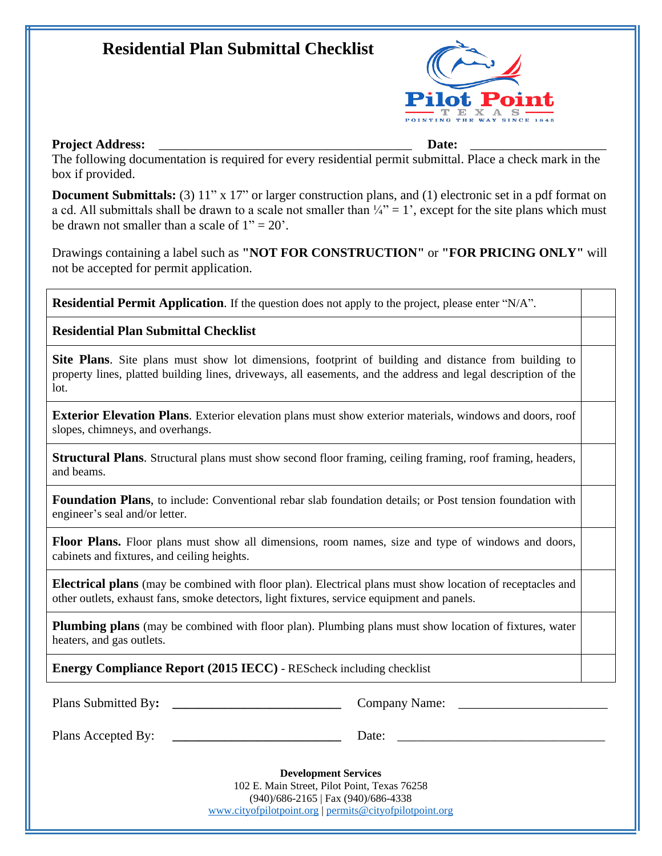## **Residential Plan Submittal Checklist**



## **Project Address:** <u>Date:</u> **Date: Date: Date: Date: Date: Date: Date: Date: Date: Date: Date: Date: Date: Date: Date: Date: Date: Date: Date: Date: Date: Date: Date: Date: Da**

The following documentation is required for every residential permit submittal. Place a check mark in the box if provided.

**Document Submittals:** (3) 11" x 17" or larger construction plans, and (1) electronic set in a pdf format on a cd. All submittals shall be drawn to a scale not smaller than  $\frac{1}{4}$ " = 1', except for the site plans which must be drawn not smaller than a scale of  $1" = 20'$ .

Drawings containing a label such as **"NOT FOR CONSTRUCTION"** or **"FOR PRICING ONLY"** will not be accepted for permit application.

**Residential Permit Application**. If the question does not apply to the project, please enter "N/A".

**Residential Plan Submittal Checklist**

**Site Plans**. Site plans must show lot dimensions, footprint of building and distance from building to property lines, platted building lines, driveways, all easements, and the address and legal description of the lot.

**Exterior Elevation Plans**. Exterior elevation plans must show exterior materials, windows and doors, roof slopes, chimneys, and overhangs.

**Structural Plans**. Structural plans must show second floor framing, ceiling framing, roof framing, headers, and beams.

**Foundation Plans**, to include: Conventional rebar slab foundation details; or Post tension foundation with engineer's seal and/or letter.

**Floor Plans.** Floor plans must show all dimensions, room names, size and type of windows and doors, cabinets and fixtures, and ceiling heights.

**Electrical plans** (may be combined with floor plan). Electrical plans must show location of receptacles and other outlets, exhaust fans, smoke detectors, light fixtures, service equipment and panels.

**Plumbing plans** (may be combined with floor plan). Plumbing plans must show location of fixtures, water heaters, and gas outlets.

**Energy Compliance Report (2015 IECC)** - REScheck including checklist

Plans Submitted By: **and Submitted By: and Submitted By: a Let up Company Name:**  $\blacksquare$ 

Plans Accepted By: **Example 20** Date: **Date:**  $\overline{a}$ 

**Development Services** 102 E. Main Street, Pilot Point, Texas 76258 (940)/686-2165 | Fax (940)/686-4338 [www.cityofpilotpoint.org](http://www.cityofpilotpoint.org) | [permits@cityofpilotpoint.org](mailto:permits@cityofpilotpoint.org)